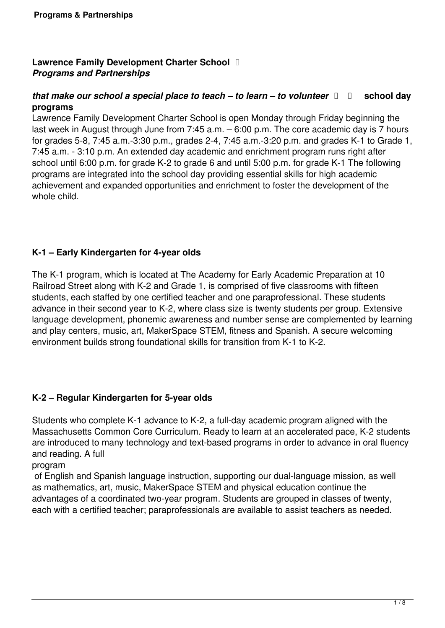# **Lawrence Family Development Charter School**  *Programs and Partnerships*

### *that make our school a special place to teach – to learn – to volunteer*  $\Box$  school day **programs**

Lawrence Family Development Charter School is open Monday through Friday beginning the last week in August through June from 7:45 a.m. – 6:00 p.m. The core academic day is 7 hours for grades 5-8, 7:45 a.m.-3:30 p.m., grades 2-4, 7:45 a.m.-3:20 p.m. and grades K-1 to Grade 1, 7:45 a.m. - 3:10 p.m. An extended day academic and enrichment program runs right after school until 6:00 p.m. for grade K-2 to grade 6 and until 5:00 p.m. for grade K-1 The following programs are integrated into the school day providing essential skills for high academic achievement and expanded opportunities and enrichment to foster the development of the whole child.

# **K-1 – Early Kindergarten for 4-year olds**

The K-1 program, which is located at The Academy for Early Academic Preparation at 10 Railroad Street along with K-2 and Grade 1, is comprised of five classrooms with fifteen students, each staffed by one certified teacher and one paraprofessional. These students advance in their second year to K-2, where class size is twenty students per group. Extensive language development, phonemic awareness and number sense are complemented by learning and play centers, music, art, MakerSpace STEM, fitness and Spanish. A secure welcoming environment builds strong foundational skills for transition from K-1 to K-2.

# **K-2 – Regular Kindergarten for 5-year olds**

Students who complete K-1 advance to K-2, a full-day academic program aligned with the Massachusetts Common Core Curriculum. Ready to learn at an accelerated pace, K-2 students are introduced to many technology and text-based programs in order to advance in oral fluency and reading. A full

program

 of English and Spanish language instruction, supporting our dual-language mission, as well as mathematics, art, music, MakerSpace STEM and physical education continue the advantages of a coordinated two-year program. Students are grouped in classes of twenty, each with a certified teacher; paraprofessionals are available to assist teachers as needed.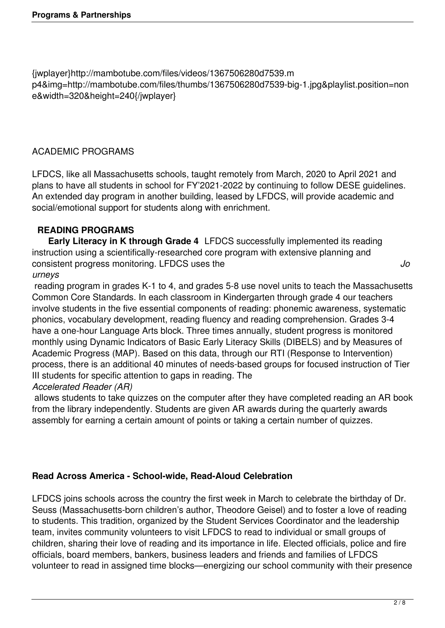{jwplayer}http://mambotube.com/files/videos/1367506280d7539.m p4&img=http://mambotube.com/files/thumbs/1367506280d7539-big-1.jpg&playlist.position=non e&width=320&height=240{/jwplayer}

# ACADEMIC PROGRAMS

LFDCS, like all Massachusetts schools, taught remotely from March, 2020 to April 2021 and plans to have all students in school for FY'2021-2022 by continuing to follow DESE guidelines. An extended day program in another building, leased by LFDCS, will provide academic and social/emotional support for students along with enrichment.

### **READING PROGRAMS**

 **Early Literacy in K through Grade 4** LFDCS successfully implemented its reading instruction using a scientifically-researched core program with extensive planning and consistent progress monitoring. LFDCS uses the *Jo*

#### *urneys*

 reading program in grades K-1 to 4, and grades 5-8 use novel units to teach the Massachusetts Common Core Standards. In each classroom in Kindergarten through grade 4 our teachers involve students in the five essential components of reading: phonemic awareness, systematic phonics, vocabulary development, reading fluency and reading comprehension. Grades 3-4 have a one-hour Language Arts block. Three times annually, student progress is monitored monthly using Dynamic Indicators of Basic Early Literacy Skills (DIBELS) and by Measures of Academic Progress (MAP). Based on this data, through our RTI (Response to Intervention) process, there is an additional 40 minutes of needs-based groups for focused instruction of Tier III students for specific attention to gaps in reading. The

#### *Accelerated Reader (AR)*

 allows students to take quizzes on the computer after they have completed reading an AR book from the library independently. Students are given AR awards during the quarterly awards assembly for earning a certain amount of points or taking a certain number of quizzes.

### **Read Across America - School-wide, Read-Aloud Celebration**

LFDCS joins schools across the country the first week in March to celebrate the birthday of Dr. Seuss (Massachusetts-born children's author, Theodore Geisel) and to foster a love of reading to students. This tradition, organized by the Student Services Coordinator and the leadership team, invites community volunteers to visit LFDCS to read to individual or small groups of children, sharing their love of reading and its importance in life. Elected officials, police and fire officials, board members, bankers, business leaders and friends and families of LFDCS volunteer to read in assigned time blocks—energizing our school community with their presence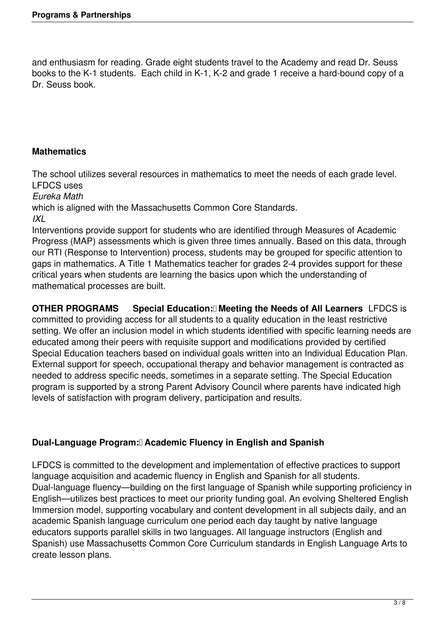and enthusiasm for reading. Grade eight students travel to the Academy and read Dr. Seuss books to the K-1 students. Each child in K-1, K-2 and grade 1 receive a hard-bound copy of a Dr. Seuss book.

## **Mathematics**

The school utilizes several resources in mathematics to meet the needs of each grade level. LFDCS uses

*Eureka Math*

which is aligned with the Massachusetts Common Core Standards. *IXL*

Interventions provide support for students who are identified through Measures of Academic Progress (MAP) assessments which is given three times annually. Based on this data, through our RTI (Response to Intervention) process, students may be grouped for specific attention to gaps in mathematics. A Title 1 Mathematics teacher for grades 2-4 provides support for these critical years when students are learning the basics upon which the understanding of mathematical processes are built.

**OTHER PROGRAMS** Special Education: **Meeting the Needs of All Learners** LFDCS is committed to providing access for all students to a quality education in the least restrictive setting. We offer an inclusion model in which students identified with specific learning needs are educated among their peers with requisite support and modifications provided by certified Special Education teachers based on individual goals written into an Individual Education Plan. External support for speech, occupational therapy and behavior management is contracted as needed to address specific needs, sometimes in a separate setting. The Special Education program is supported by a strong Parent Advisory Council where parents have indicated high levels of satisfaction with program delivery, participation and results.

# **Dual-Language Program: Academic Fluency in English and Spanish**

LFDCS is committed to the development and implementation of effective practices to support language acquisition and academic fluency in English and Spanish for all students. Dual-language fluency—building on the first language of Spanish while supporting proficiency in English—utilizes best practices to meet our priority funding goal. An evolving Sheltered English Immersion model, supporting vocabulary and content development in all subjects daily, and an academic Spanish language curriculum one period each day taught by native language educators supports parallel skills in two languages. All language instructors (English and Spanish) use Massachusetts Common Core Curriculum standards in English Language Arts to create lesson plans.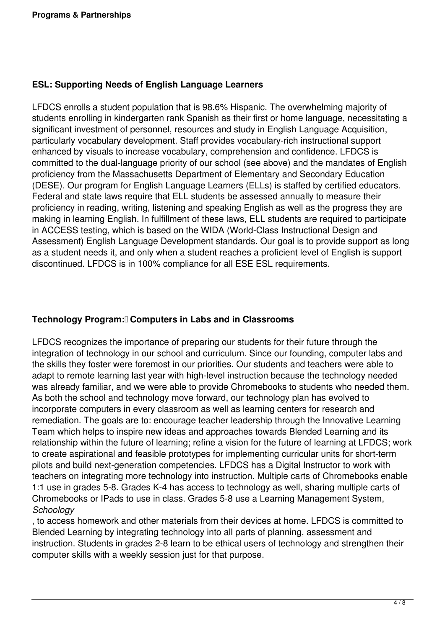# **ESL: Supporting Needs of English Language Learners**

LFDCS enrolls a student population that is 98.6% Hispanic. The overwhelming majority of students enrolling in kindergarten rank Spanish as their first or home language, necessitating a significant investment of personnel, resources and study in English Language Acquisition, particularly vocabulary development. Staff provides vocabulary-rich instructional support enhanced by visuals to increase vocabulary, comprehension and confidence. LFDCS is committed to the dual-language priority of our school (see above) and the mandates of English proficiency from the Massachusetts Department of Elementary and Secondary Education (DESE). Our program for English Language Learners (ELLs) is staffed by certified educators. Federal and state laws require that ELL students be assessed annually to measure their proficiency in reading, writing, listening and speaking English as well as the progress they are making in learning English. In fulfillment of these laws, ELL students are required to participate in ACCESS testing, which is based on the WIDA (World-Class Instructional Design and Assessment) English Language Development standards. Our goal is to provide support as long as a student needs it, and only when a student reaches a proficient level of English is support discontinued. LFDCS is in 100% compliance for all ESE ESL requirements.

# **Technology Program: Computers in Labs and in Classrooms**

LFDCS recognizes the importance of preparing our students for their future through the integration of technology in our school and curriculum. Since our founding, computer labs and the skills they foster were foremost in our priorities. Our students and teachers were able to adapt to remote learning last year with high-level instruction because the technology needed was already familiar, and we were able to provide Chromebooks to students who needed them. As both the school and technology move forward, our technology plan has evolved to incorporate computers in every classroom as well as learning centers for research and remediation. The goals are to: encourage teacher leadership through the Innovative Learning Team which helps to inspire new ideas and approaches towards Blended Learning and its relationship within the future of learning; refine a vision for the future of learning at LFDCS; work to create aspirational and feasible prototypes for implementing curricular units for short-term pilots and build next-generation competencies. LFDCS has a Digital Instructor to work with teachers on integrating more technology into instruction. Multiple carts of Chromebooks enable 1:1 use in grades 5-8. Grades K-4 has access to technology as well, sharing multiple carts of Chromebooks or IPads to use in class. Grades 5-8 use a Learning Management System, *Schoology*

, to access homework and other materials from their devices at home. LFDCS is committed to Blended Learning by integrating technology into all parts of planning, assessment and instruction. Students in grades 2-8 learn to be ethical users of technology and strengthen their computer skills with a weekly session just for that purpose.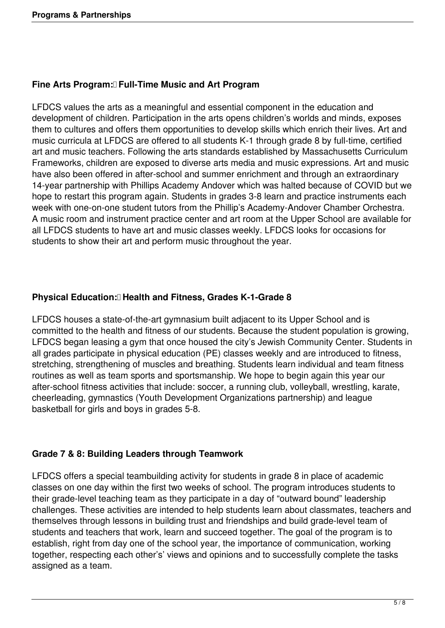## **Fine Arts Program: Full-Time Music and Art Program**

LFDCS values the arts as a meaningful and essential component in the education and development of children. Participation in the arts opens children's worlds and minds, exposes them to cultures and offers them opportunities to develop skills which enrich their lives. Art and music curricula at LFDCS are offered to all students K-1 through grade 8 by full-time, certified art and music teachers. Following the arts standards established by Massachusetts Curriculum Frameworks, children are exposed to diverse arts media and music expressions. Art and music have also been offered in after-school and summer enrichment and through an extraordinary 14-year partnership with Phillips Academy Andover which was halted because of COVID but we hope to restart this program again. Students in grades 3-8 learn and practice instruments each week with one-on-one student tutors from the Phillip's Academy-Andover Chamber Orchestra. A music room and instrument practice center and art room at the Upper School are available for all LFDCS students to have art and music classes weekly. LFDCS looks for occasions for students to show their art and perform music throughout the year.

# **Physical Education: Health and Fitness, Grades K-1-Grade 8**

LFDCS houses a state-of-the-art gymnasium built adjacent to its Upper School and is committed to the health and fitness of our students. Because the student population is growing, LFDCS began leasing a gym that once housed the city's Jewish Community Center. Students in all grades participate in physical education (PE) classes weekly and are introduced to fitness, stretching, strengthening of muscles and breathing. Students learn individual and team fitness routines as well as team sports and sportsmanship. We hope to begin again this year our after-school fitness activities that include: soccer, a running club, volleyball, wrestling, karate, cheerleading, gymnastics (Youth Development Organizations partnership) and league basketball for girls and boys in grades 5-8.

### **Grade 7 & 8: Building Leaders through Teamwork**

LFDCS offers a special teambuilding activity for students in grade 8 in place of academic classes on one day within the first two weeks of school. The program introduces students to their grade-level teaching team as they participate in a day of "outward bound" leadership challenges. These activities are intended to help students learn about classmates, teachers and themselves through lessons in building trust and friendships and build grade-level team of students and teachers that work, learn and succeed together. The goal of the program is to establish, right from day one of the school year, the importance of communication, working together, respecting each other's' views and opinions and to successfully complete the tasks assigned as a team.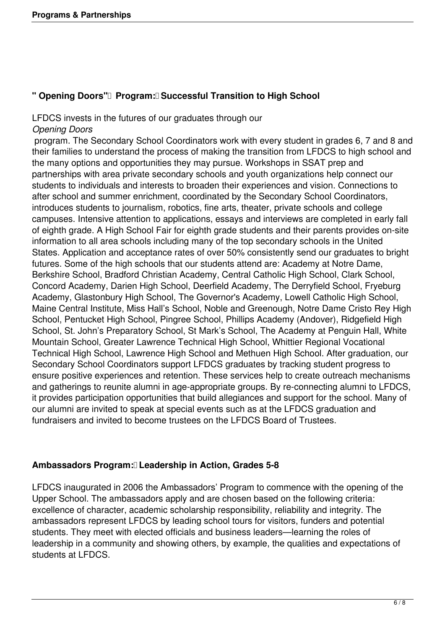## **" Opening Doors"** Program: Successful Transition to High School

# LFDCS invests in the futures of our graduates through our *Opening Doors*

 program. The Secondary School Coordinators work with every student in grades 6, 7 and 8 and their families to understand the process of making the transition from LFDCS to high school and the many options and opportunities they may pursue. Workshops in SSAT prep and partnerships with area private secondary schools and youth organizations help connect our students to individuals and interests to broaden their experiences and vision. Connections to after school and summer enrichment, coordinated by the Secondary School Coordinators, introduces students to journalism, robotics, fine arts, theater, private schools and college campuses. Intensive attention to applications, essays and interviews are completed in early fall of eighth grade. A High School Fair for eighth grade students and their parents provides on-site information to all area schools including many of the top secondary schools in the United States. Application and acceptance rates of over 50% consistently send our graduates to bright futures. Some of the high schools that our students attend are: Academy at Notre Dame, Berkshire School, Bradford Christian Academy, Central Catholic High School, Clark School, Concord Academy, Darien High School, Deerfield Academy, The Derryfield School, Fryeburg Academy, Glastonbury High School, The Governor's Academy, Lowell Catholic High School, Maine Central Institute, Miss Hall's School, Noble and Greenough, Notre Dame Cristo Rey High School, Pentucket High School, Pingree School, Phillips Academy (Andover), Ridgefield High School, St. John's Preparatory School, St Mark's School, The Academy at Penguin Hall, White Mountain School, Greater Lawrence Technical High School, Whittier Regional Vocational Technical High School, Lawrence High School and Methuen High School. After graduation, our Secondary School Coordinators support LFDCS graduates by tracking student progress to ensure positive experiences and retention. These services help to create outreach mechanisms and gatherings to reunite alumni in age-appropriate groups. By re-connecting alumni to LFDCS, it provides participation opportunities that build allegiances and support for the school. Many of our alumni are invited to speak at special events such as at the LFDCS graduation and fundraisers and invited to become trustees on the LFDCS Board of Trustees.

### Ambassadors Program: Leadership in Action, Grades 5-8

LFDCS inaugurated in 2006 the Ambassadors' Program to commence with the opening of the Upper School. The ambassadors apply and are chosen based on the following criteria: excellence of character, academic scholarship responsibility, reliability and integrity. The ambassadors represent LFDCS by leading school tours for visitors, funders and potential students. They meet with elected officials and business leaders—learning the roles of leadership in a community and showing others, by example, the qualities and expectations of students at LFDCS.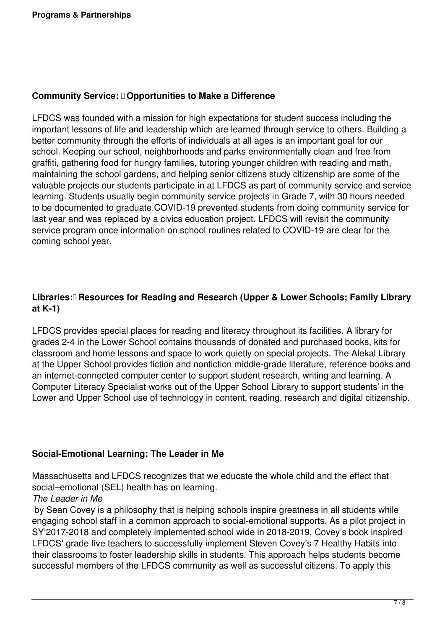#### **Community Service: Opportunities to Make a Difference**

LFDCS was founded with a mission for high expectations for student success including the important lessons of life and leadership which are learned through service to others. Building a better community through the efforts of individuals at all ages is an important goal for our school. Keeping our school, neighborhoods and parks environmentally clean and free from graffiti, gathering food for hungry families, tutoring younger children with reading and math, maintaining the school gardens, and helping senior citizens study citizenship are some of the valuable projects our students participate in at LFDCS as part of community service and service learning. Students usually begin community service projects in Grade 7, with 30 hours needed to be documented to graduate.COVID-19 prevented students from doing community service for last year and was replaced by a civics education project. LFDCS will revisit the community service program once information on school routines related to COVID-19 are clear for the coming school year.

# Libraries: **Resources for Reading and Research (Upper & Lower Schools; Family Library at K-1)**

LFDCS provides special places for reading and literacy throughout its facilities. A library for grades 2-4 in the Lower School contains thousands of donated and purchased books, kits for classroom and home lessons and space to work quietly on special projects. The Alekal Library at the Upper School provides fiction and nonfiction middle-grade literature, reference books and an internet-connected computer center to support student research, writing and learning. A Computer Literacy Specialist works out of the Upper School Library to support students' in the Lower and Upper School use of technology in content, reading, research and digital citizenship.

### **Social-Emotional Learning: The Leader in Me**

Massachusetts and LFDCS recognizes that we educate the whole child and the effect that social–emotional (SEL) health has on learning.

### *The Leader in Me*

 by Sean Covey is a philosophy that is helping schools inspire greatness in all students while engaging school staff in a common approach to social-emotional supports. As a pilot project in SY'2017-2018 and completely implemented school wide in 2018-2019, Covey's book inspired LFDCS' grade five teachers to successfully implement Steven Covey's 7 Healthy Habits into their classrooms to foster leadership skills in students. This approach helps students become successful members of the LFDCS community as well as successful citizens. To apply this